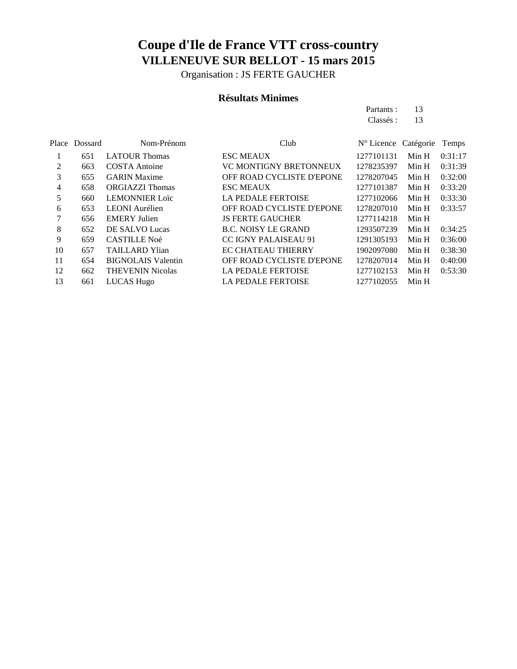Organisation : JS FERTE GAUCHER

### **Résultats Minimes**

Partants : 13 Classés : 13

|    | Place Dossard | Nom-Prénom                | Club                             | $N^{\circ}$ Licence Catégorie |       | Temps   |
|----|---------------|---------------------------|----------------------------------|-------------------------------|-------|---------|
|    | 651           | <b>LATOUR Thomas</b>      | <b>ESC MEAUX</b>                 | 1277101131                    | Min H | 0:31:17 |
| 2  | 663           | <b>COSTA</b> Antoine      | <b>VC MONTIGNY BRETONNEUX</b>    | 1278235397                    | Min H | 0:31:39 |
| 3  | 655           | <b>GARIN</b> Maxime       | OFF ROAD CYCLISTE D'EPONE        | 1278207045                    | Min H | 0:32:00 |
| 4  | 658           | <b>ORGIAZZI</b> Thomas    | <b>ESC MEAUX</b>                 | 1277101387                    | Min H | 0:33:20 |
| 5  | 660           | <b>LEMONNIER Loïc</b>     | <b>LA PEDALE FERTOISE</b>        | 1277102066                    | Min H | 0:33:30 |
| 6  | 653           | <b>LEONI</b> Aurélien     | <b>OFF ROAD CYCLISTE D'EPONE</b> | 1278207010                    | Min H | 0:33:57 |
|    | 656           | <b>EMERY Julien</b>       | <b>JS FERTE GAUCHER</b>          | 1277114218                    | Min H |         |
| 8  | 652           | DE SALVO Lucas            | <b>B.C. NOISY LE GRAND</b>       | 1293507239                    | Min H | 0:34:25 |
| 9  | 659           | <b>CASTILLE Noé</b>       | <b>CC IGNY PALAISEAU 91</b>      | 1291305193                    | Min H | 0:36:00 |
| 10 | 657           | <b>TAILLARD Ylian</b>     | <b>EC CHATEAU THIERRY</b>        | 1902097080                    | Min H | 0:38:30 |
| 11 | 654           | <b>BIGNOLAIS Valentin</b> | OFF ROAD CYCLISTE D'EPONE        | 1278207014                    | Min H | 0:40:00 |
| 12 | 662           | <b>THEVENIN Nicolas</b>   | <b>LA PEDALE FERTOISE</b>        | 1277102153                    | Min H | 0:53:30 |
| 13 | 661           | LUCAS Hugo                | <b>LA PEDALE FERTOISE</b>        | 1277102055                    | Min H |         |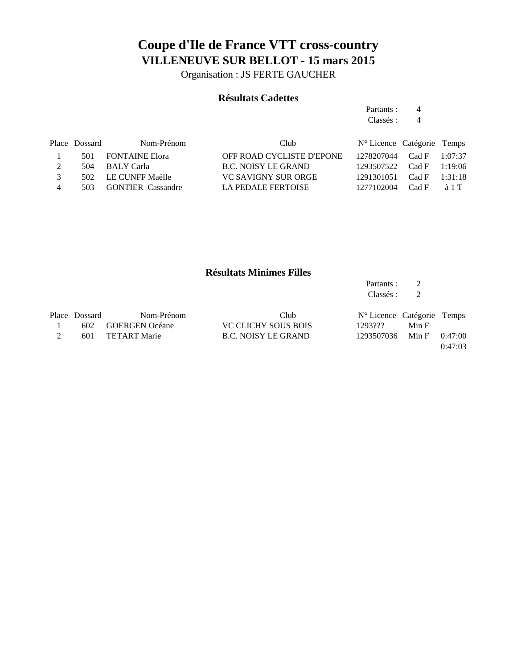Organisation : JS FERTE GAUCHER

### **Résultats Cadettes**

Partants : 4 Classés : 4

|               | Place Dossard | Nom-Prénom               | Club                      | N° Licence Catégorie Temps   |  |
|---------------|---------------|--------------------------|---------------------------|------------------------------|--|
|               | 501           | <b>FONTAINE Elora</b>    | OFF ROAD CYCLISTE D'EPONE | $1278207044$ Cad F $1:07:37$ |  |
|               | 504           | – BALY Carla             | B.C. NOISY LE GRAND       | $1293507522$ Cad F $1:19:06$ |  |
| $\mathcal{R}$ |               | 502 LE CUNFF Maëlle      | VC SAVIGNY SUR ORGE       | 1291301051 Cad F 1:31:18     |  |
|               | 503.          | <b>GONTIER</b> Cassandre | LA PEDALE FERTOISE        | 1277102004 Cad F à 1 T       |  |

### **Résultats Minimes Filles**

|               |                       |                            | Partants :<br>Classés :    | 2<br>2 |         |
|---------------|-----------------------|----------------------------|----------------------------|--------|---------|
| Place Dossard | Nom-Prénom            | Club                       | N° Licence Catégorie Temps |        |         |
| 602           | <b>GOERGEN Océane</b> | <b>VC CLICHY SOUS BOIS</b> | 1293???                    | Min F  |         |
| 601           | <b>TETART Marie</b>   | <b>B.C. NOISY LE GRAND</b> | 1293507036                 | Min F  | 0:47:00 |
|               |                       |                            |                            |        | 0:47:03 |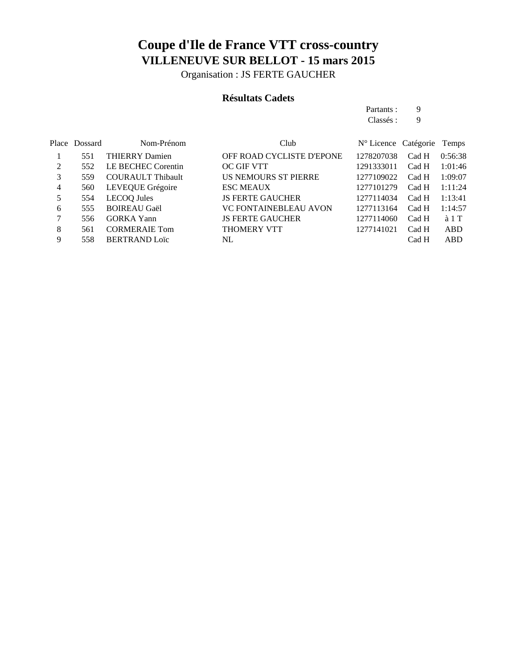Organisation : JS FERTE GAUCHER

### **Résultats Cadets**

Partants : 9 Classés : 9

|   | Place Dossard | Nom-Prénom               | Club                         | N° Licence Catégorie Temps |       |               |
|---|---------------|--------------------------|------------------------------|----------------------------|-------|---------------|
|   | 551           | <b>THIERRY Damien</b>    | OFF ROAD CYCLISTE D'EPONE    | 1278207038                 | Cad H | 0:56:38       |
| 2 | 552           | LE BECHEC Corentin       | <b>OC GIF VTT</b>            | 1291333011                 | Cad H | 1:01:46       |
| 3 | 559           | <b>COURAULT Thibault</b> | US NEMOURS ST PIERRE         | 1277109022                 | Cad H | 1:09:07       |
| 4 | 560           | LEVEQUE Grégoire         | <b>ESC MEAUX</b>             | 1277101279                 | Cad H | 1:11:24       |
| 5 | 554           | <b>LECOQ</b> Jules       | <b>JS FERTE GAUCHER</b>      | 1277114034                 | Cad H | 1:13:41       |
| 6 | 555           | <b>BOIREAU Gaël</b>      | <b>VC FONTAINEBLEAU AVON</b> | 1277113164                 | Cad H | 1:14:57       |
|   | 556           | <b>GORKA</b> Yann        | <b>JS FERTE GAUCHER</b>      | 1277114060                 | Cad H | $\lambda$ 1 T |
| 8 | 561           | <b>CORMERAIE Tom</b>     | THOMERY VTT                  | 1277141021                 | Cad H | <b>ABD</b>    |
| 9 | 558           | <b>BERTRAND Loïc</b>     | NL.                          |                            | Cad H | ABD           |
|   |               |                          |                              |                            |       |               |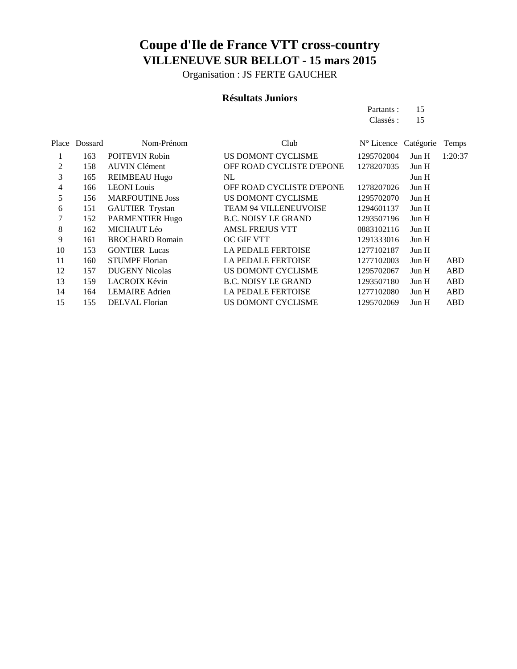Organisation : JS FERTE GAUCHER

#### **Résultats Juniors**

Partants : 15 Classés : 15

|    | Place Dossard | Nom-Prénom             | Club                         | N° Licence Catégorie |       | Temps   |
|----|---------------|------------------------|------------------------------|----------------------|-------|---------|
|    | 163           | POITEVIN Robin         | US DOMONT CYCLISME           | 1295702004           | Jun H | 1:20:37 |
| 2  | 158           | <b>AUVIN</b> Clément   | OFF ROAD CYCLISTE D'EPONE    | 1278207035           | Jun H |         |
| 3  | 165           | <b>REIMBEAU Hugo</b>   | NL                           |                      | Jun H |         |
| 4  | 166           | <b>LEONI</b> Louis     | OFF ROAD CYCLISTE D'EPONE    | 1278207026           | Jun H |         |
| 5  | 156           | <b>MARFOUTINE Joss</b> | US DOMONT CYCLISME           | 1295702070           | Jun H |         |
| 6  | 151           | <b>GAUTIER Trystan</b> | <b>TEAM 94 VILLENEUVOISE</b> | 1294601137           | Jun H |         |
| 7  | 152           | <b>PARMENTIER Hugo</b> | <b>B.C. NOISY LE GRAND</b>   | 1293507196           | Jun H |         |
| 8  | 162           | MICHAUT Léo            | <b>AMSL FREJUS VTT</b>       | 0883102116           | Jun H |         |
| 9  | 161           | <b>BROCHARD Romain</b> | <b>OC GIF VTT</b>            | 1291333016           | Jun H |         |
| 10 | 153           | <b>GONTIER</b> Lucas   | <b>LA PEDALE FERTOISE</b>    | 1277102187           | Jun H |         |
| 11 | 160           | <b>STUMPF</b> Florian  | <b>LA PEDALE FERTOISE</b>    | 1277102003           | Jun H | ABD     |
| 12 | 157           | <b>DUGENY Nicolas</b>  | US DOMONT CYCLISME           | 1295702067           | Jun H | ABD     |
| 13 | 159           | <b>LACROIX Kévin</b>   | <b>B.C. NOISY LE GRAND</b>   | 1293507180           | Jun H | ABD     |
| 14 | 164           | <b>LEMAIRE</b> Adrien  | <b>LA PEDALE FERTOISE</b>    | 1277102080           | Jun H | ABD     |
| 15 | 155           | <b>DELVAL</b> Florian  | US DOMONT CYCLISME           | 1295702069           | Jun H | ABD     |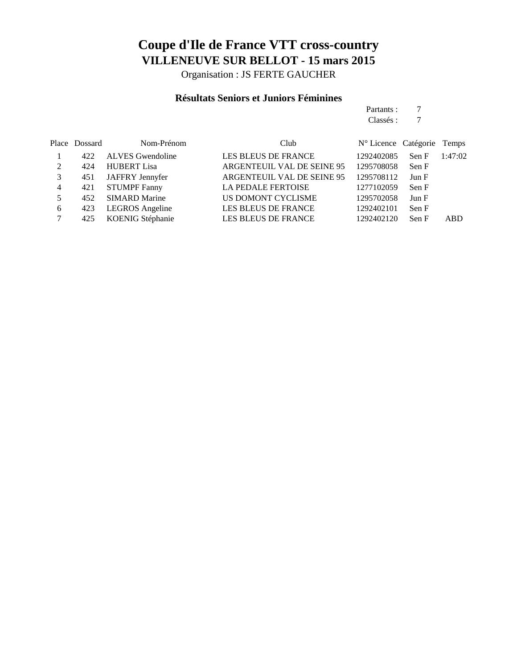Organisation : JS FERTE GAUCHER

### **Résultats Seniors et Juniors Féminines**

Partants : 7 Classés : 7

|   | Place Dossard | Nom-Prénom              | Club                       | N° Licence Catégorie Temps |       |            |
|---|---------------|-------------------------|----------------------------|----------------------------|-------|------------|
|   | 422           | <b>ALVES</b> Gwendoline | <b>LES BLEUS DE FRANCE</b> | 1292402085                 | Sen F | 1:47:02    |
| 2 | 424           | <b>HUBERT</b> Lisa      | ARGENTEUIL VAL DE SEINE 95 | 1295708058                 | Sen F |            |
| 3 | 451           | JAFFRY Jennyfer         | ARGENTEUIL VAL DE SEINE 95 | 1295708112                 | Jun F |            |
| 4 | 421           | <b>STUMPF Fanny</b>     | <b>LA PEDALE FERTOISE</b>  | 1277102059                 | Sen F |            |
|   | 452           | <b>SIMARD Marine</b>    | US DOMONT CYCLISME         | 1295702058                 | Jun F |            |
| 6 | 423           | <b>LEGROS</b> Angeline  | LES BLEUS DE FRANCE        | 1292402101                 | Sen F |            |
|   | 425           | KOENIG Stéphanie        | LES BLEUS DE FRANCE        | 1292402120                 | Sen F | <b>ABD</b> |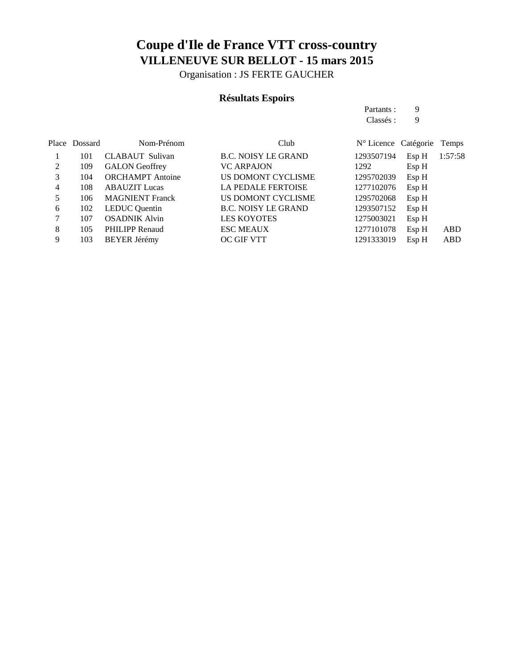Organisation : JS FERTE GAUCHER

## **Résultats Espoirs**

|   |               |                         |                            | Partants:                     | 9     |         |
|---|---------------|-------------------------|----------------------------|-------------------------------|-------|---------|
|   |               |                         |                            | Classés :                     | 9     |         |
|   | Place Dossard | Nom-Prénom              | Club                       | $N^{\circ}$ Licence Catégorie |       | Temps   |
|   | 101           | CLABAUT Sulivan         | <b>B.C. NOISY LE GRAND</b> | 1293507194                    | Esp H | 1:57:58 |
| 2 | 109           | <b>GALON</b> Geoffrey   | <b>VC ARPAJON</b>          | 1292                          | EspH  |         |
| 3 | 104           | <b>ORCHAMPT</b> Antoine | US DOMONT CYCLISME         | 1295702039                    | Esp H |         |
| 4 | 108           | <b>ABAUZIT</b> Lucas    | <b>LA PEDALE FERTOISE</b>  | 1277102076                    | Esp H |         |
| 5 | 106           | <b>MAGNIENT</b> Franck  | US DOMONT CYCLISME         | 1295702068                    | Esp H |         |
| 6 | 102           | <b>LEDUC</b> Quentin    | <b>B.C. NOISY LE GRAND</b> | 1293507152                    | Esp H |         |
| 7 | 107           | <b>OSADNIK Alvin</b>    | <b>LES KOYOTES</b>         | 1275003021                    | Esp H |         |
| 8 | 105           | <b>PHILIPP Renaud</b>   | <b>ESC MEAUX</b>           | 1277101078                    | Esp H | ABD     |
| 9 | 103           | <b>BEYER Jérémy</b>     | <b>OC GIF VTT</b>          | 1291333019                    | Esp H | ABD     |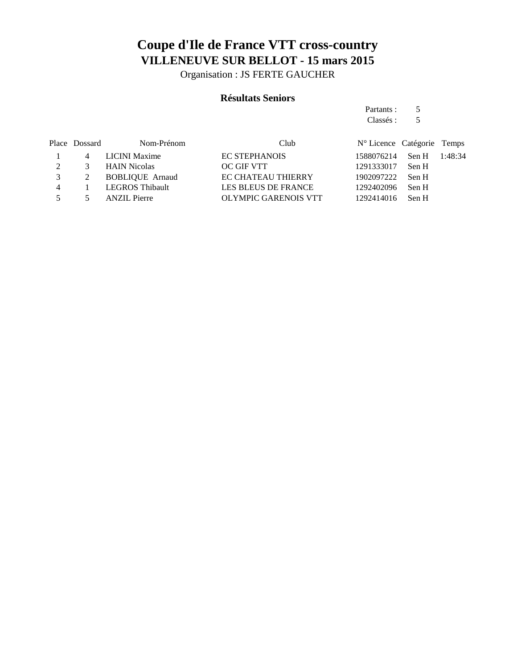Organisation : JS FERTE GAUCHER

### **Résultats Seniors**

Partants : 5 Classés : 5

|                | Place Dossard | Nom-Prénom             | Club                       | N° Licence Catégorie Temps |  |
|----------------|---------------|------------------------|----------------------------|----------------------------|--|
|                |               | LICINI Maxime          | <b>EC STEPHANOIS</b>       | 1588076214 Sen H 1:48:34   |  |
|                | 3             | <b>HAIN Nicolas</b>    | OC GIF VTT                 | 1291333017 Sen H           |  |
|                |               | <b>BOBLIQUE Arnaud</b> | <b>EC CHATEAU THIERRY</b>  | 1902097222 Sen H           |  |
| $\overline{4}$ |               | LEGROS Thibault        | <b>LES BLEUS DE FRANCE</b> | 1292402096 Sen H           |  |
|                |               | <b>ANZIL</b> Pierre    | OLYMPIC GARENOIS VTT       | 1292414016 Sen H           |  |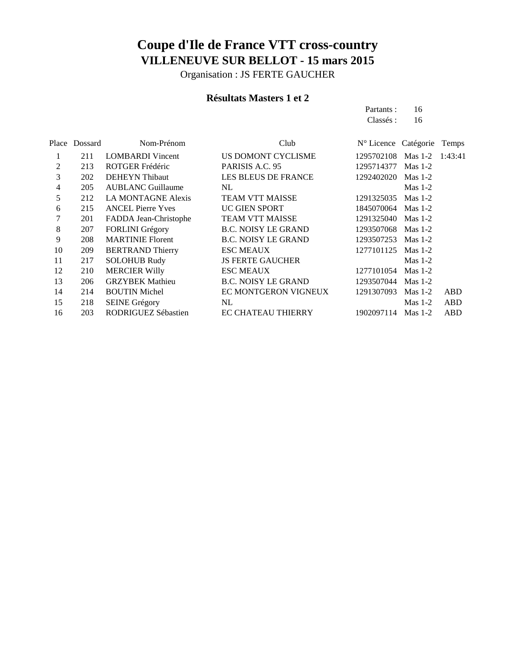Organisation : JS FERTE GAUCHER

### **Résultats Masters 1 et 2**

Partants : 16 Classés : 16

|    | Place Dossard | Nom-Prénom                | Club                       | N° Licence Catégorie |           | Temps      |
|----|---------------|---------------------------|----------------------------|----------------------|-----------|------------|
|    | 211           | <b>LOMBARDI</b> Vincent   | US DOMONT CYCLISME         | 1295702108           | Mas $1-2$ | 1:43:41    |
| 2  | 213           | ROTGER Frédéric           | PARISIS A.C. 95            | 1295714377           | Mas $1-2$ |            |
| 3  | 202           | <b>DEHEYN</b> Thibaut     | LES BLEUS DE FRANCE        | 1292402020           | Mas $1-2$ |            |
| 4  | 205           | <b>AUBLANC Guillaume</b>  | NL                         |                      | $Mas 1-2$ |            |
| 5  | 212           | <b>LA MONTAGNE Alexis</b> | <b>TEAM VTT MAISSE</b>     | 1291325035           | Mas $1-2$ |            |
| 6  | 215           | <b>ANCEL Pierre Yves</b>  | UC GIEN SPORT              | 1845070064 Mas 1-2   |           |            |
| 7  | 201           | FADDA Jean-Christophe     | <b>TEAM VTT MAISSE</b>     | 1291325040 Mas 1-2   |           |            |
| 8  | 207           | <b>FORLINI</b> Grégory    | <b>B.C. NOISY LE GRAND</b> | 1293507068 Mas 1-2   |           |            |
| 9  | 208           | <b>MARTINIE Florent</b>   | <b>B.C. NOISY LE GRAND</b> | 1293507253           | Mas $1-2$ |            |
| 10 | 209           | <b>BERTRAND Thierry</b>   | <b>ESC MEAUX</b>           | 1277101125           | Mas $1-2$ |            |
| 11 | 217           | <b>SOLOHUB Rudy</b>       | <b>JS FERTE GAUCHER</b>    |                      | Mas $1-2$ |            |
| 12 | 210           | <b>MERCIER Willy</b>      | <b>ESC MEAUX</b>           | 1277101054           | Mas $1-2$ |            |
| 13 | 206           | <b>GRZYBEK Mathieu</b>    | <b>B.C. NOISY LE GRAND</b> | 1293507044 Mas 1-2   |           |            |
| 14 | 214           | <b>BOUTIN Michel</b>      | EC MONTGERON VIGNEUX       | 1291307093           | $Mas 1-2$ | ABD        |
| 15 | 218           | <b>SEINE Grégory</b>      | NL                         |                      | $Mas 1-2$ | ABD        |
| 16 | 203           | RODRIGUEZ Sébastien       | <b>EC CHATEAU THIERRY</b>  | 1902097114           | Mas $1-2$ | <b>ABD</b> |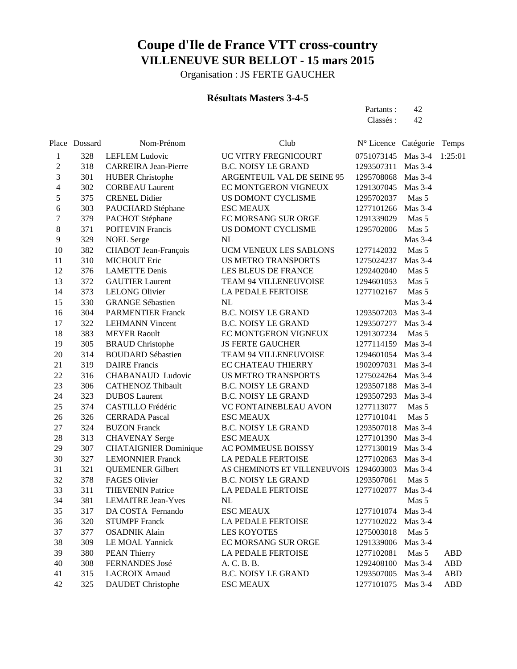Organisation : JS FERTE GAUCHER

### **Résultats Masters 3-4-5**

Partants : 42 Classés : 42

|                          | Place Dossard | Nom-Prénom                   | Club                                    | N° Licence Catégorie |                | Temps      |
|--------------------------|---------------|------------------------------|-----------------------------------------|----------------------|----------------|------------|
| 1                        | 328           | <b>LEFLEM Ludovic</b>        | UC VITRY FREGNICOURT                    | 0751073145 Mas 3-4   |                | 1:25:01    |
| $\overline{c}$           | 318           | <b>CARREIRA</b> Jean-Pierre  | <b>B.C. NOISY LE GRAND</b>              | 1293507311           | Mas 3-4        |            |
| 3                        | 301           | <b>HUBER Christophe</b>      | ARGENTEUIL VAL DE SEINE 95              | 1295708068           | Mas $3-4$      |            |
| $\overline{\mathcal{L}}$ | 302           | <b>CORBEAU Laurent</b>       | EC MONTGERON VIGNEUX                    | 1291307045 Mas 3-4   |                |            |
| 5                        | 375           | <b>CRENEL Didier</b>         | US DOMONT CYCLISME                      | 1295702037           | Mas 5          |            |
| 6                        | 303           | PAUCHARD Stéphane            | <b>ESC MEAUX</b>                        | 1277101266           | Mas $3-4$      |            |
| $\boldsymbol{7}$         | 379           | PACHOT Stéphane              | EC MORSANG SUR ORGE                     | 1291339029           | Mas 5          |            |
| 8                        | 371           | <b>POITEVIN Francis</b>      | US DOMONT CYCLISME                      | 1295702006           | Mas 5          |            |
| $\mathbf{9}$             | 329           | <b>NOEL Serge</b>            | $\rm NL$                                |                      | Mas 3-4        |            |
| 10                       | 382           | CHABOT Jean-François         | UCM VENEUX LES SABLONS                  | 1277142032           | Mas 5          |            |
| 11                       | 310           | <b>MICHOUT Eric</b>          | <b>US METRO TRANSPORTS</b>              | 1275024237           | Mas $3-4$      |            |
| 12                       | 376           | <b>LAMETTE Denis</b>         | LES BLEUS DE FRANCE                     | 1292402040           | Mas 5          |            |
| 13                       | 372           | <b>GAUTIER Laurent</b>       | TEAM 94 VILLENEUVOISE                   | 1294601053           | Mas 5          |            |
| 14                       | 373           | <b>LELONG Olivier</b>        | LA PEDALE FERTOISE                      | 1277102167           | Mas 5          |            |
| 15                       | 330           | <b>GRANGE Sébastien</b>      | NL                                      |                      | <b>Mas 3-4</b> |            |
| 16                       | 304           | <b>PARMENTIER Franck</b>     | <b>B.C. NOISY LE GRAND</b>              | 1293507203           | Mas 3-4        |            |
| 17                       | 322           | <b>LEHMANN Vincent</b>       | <b>B.C. NOISY LE GRAND</b>              | 1293507277           | Mas 3-4        |            |
| 18                       | 383           | <b>MEYER Raoult</b>          | EC MONTGERON VIGNEUX                    | 1291307234           | Mas 5          |            |
| 19                       | 305           | <b>BRAUD</b> Christophe      | <b>JS FERTE GAUCHER</b>                 | 1277114159           | Mas 3-4        |            |
| 20                       | 314           | <b>BOUDARD Sébastien</b>     | TEAM 94 VILLENEUVOISE                   | 1294601054           | Mas $3-4$      |            |
| 21                       | 319           | <b>DAIRE</b> Francis         | EC CHATEAU THIERRY                      | 1902097031           | Mas 3-4        |            |
| 22                       | 316           | CHABANAUD Ludovic            | <b>US METRO TRANSPORTS</b>              | 1275024264           | Mas $3-4$      |            |
| 23                       | 306           | <b>CATHENOZ Thibault</b>     | <b>B.C. NOISY LE GRAND</b>              | 1293507188           | Mas $3-4$      |            |
| 24                       | 323           | <b>DUBOS</b> Laurent         | <b>B.C. NOISY LE GRAND</b>              | 1293507293           | Mas $3-4$      |            |
| 25                       | 374           | CASTILLO Frédéric            | VC FONTAINEBLEAU AVON                   | 1277113077           | Mas 5          |            |
| 26                       | 326           | <b>CERRADA Pascal</b>        | <b>ESC MEAUX</b>                        | 1277101041           | Mas 5          |            |
| 27                       | 324           | <b>BUZON Franck</b>          | <b>B.C. NOISY LE GRAND</b>              | 1293507018           | Mas $3-4$      |            |
| 28                       | 313           | <b>CHAVENAY Serge</b>        | <b>ESC MEAUX</b>                        | 1277101390           | Mas $3-4$      |            |
| 29                       | 307           | <b>CHATAIGNIER Dominique</b> | AC POMMEUSE BOISSY                      | 1277130019           | Mas $3-4$      |            |
| 30                       | 327           | <b>LEMONNIER Franck</b>      | LA PEDALE FERTOISE                      | 1277102063           | Mas $3-4$      |            |
| 31                       | 321           | <b>QUEMENER Gilbert</b>      | AS CHEMINOTS ET VILLENEUVOIS 1294603003 |                      | Mas $3-4$      |            |
| 32                       | 378           | <b>FAGES Olivier</b>         | <b>B.C. NOISY LE GRAND</b>              | 1293507061           | Mas 5          |            |
| 33                       | 311           | <b>THEVENIN Patrice</b>      | LA PEDALE FERTOISE                      | 1277102077           | <b>Mas 3-4</b> |            |
| 34                       | 381           | <b>LEMAITRE Jean-Yves</b>    | NL                                      |                      | Mas 5          |            |
| 35                       | 317           | DA COSTA Fernando            | <b>ESC MEAUX</b>                        | 1277101074 Mas 3-4   |                |            |
| 36                       | 320           | <b>STUMPF</b> Franck         | LA PEDALE FERTOISE                      | 1277102022           | Mas 3-4        |            |
| 37                       | 377           | <b>OSADNIK Alain</b>         | <b>LES KOYOTES</b>                      | 1275003018           | Mas 5          |            |
| 38                       | 309           | LE MOAL Yannick              | EC MORSANG SUR ORGE                     | 1291339006           | Mas 3-4        |            |
| 39                       | 380           | <b>PEAN Thierry</b>          | <b>LA PEDALE FERTOISE</b>               | 1277102081           | Mas 5          | <b>ABD</b> |
| 40                       | 308           | FERNANDES José               | A. C. B. B.                             | 1292408100           | $Mas 3-4$      | ABD        |
| 41                       | 315           | <b>LACROIX Arnaud</b>        | <b>B.C. NOISY LE GRAND</b>              | 1293507005           | Mas $3-4$      | <b>ABD</b> |
| 42                       | 325           | <b>DAUDET</b> Christophe     | <b>ESC MEAUX</b>                        | 1277101075           | Mas 3-4        | <b>ABD</b> |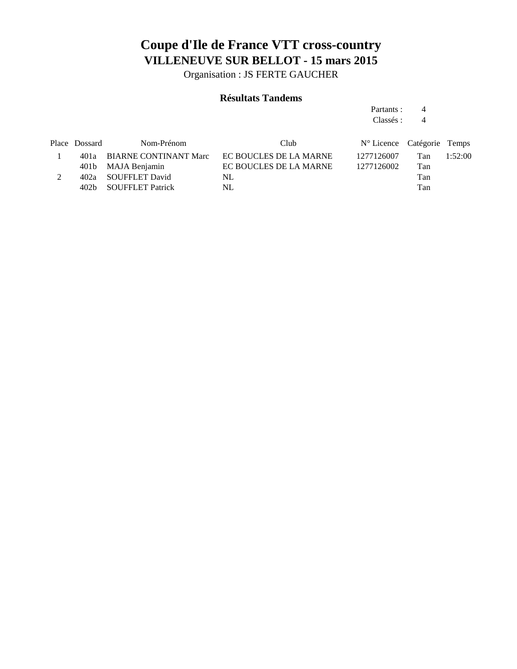Organisation : JS FERTE GAUCHER

### **Résultats Tandems**

Partants : 4 Classés : 4

| $N^{\circ}$ Licence Catégorie Temps |
|-------------------------------------|
| 1:52:00<br>Tan                      |
| Tan                                 |
| Tan                                 |
| Tan                                 |
|                                     |